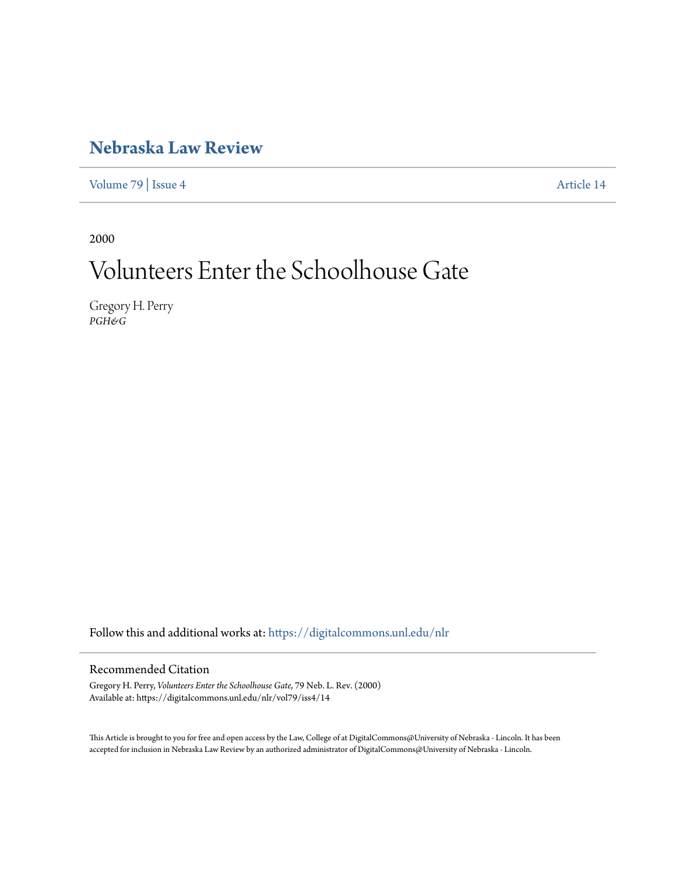# **[Nebraska Law Review](https://digitalcommons.unl.edu/nlr?utm_source=digitalcommons.unl.edu%2Fnlr%2Fvol79%2Fiss4%2F14&utm_medium=PDF&utm_campaign=PDFCoverPages)**

[Volume 79](https://digitalcommons.unl.edu/nlr/vol79?utm_source=digitalcommons.unl.edu%2Fnlr%2Fvol79%2Fiss4%2F14&utm_medium=PDF&utm_campaign=PDFCoverPages) | [Issue 4](https://digitalcommons.unl.edu/nlr/vol79/iss4?utm_source=digitalcommons.unl.edu%2Fnlr%2Fvol79%2Fiss4%2F14&utm_medium=PDF&utm_campaign=PDFCoverPages) [Article 14](https://digitalcommons.unl.edu/nlr/vol79/iss4/14?utm_source=digitalcommons.unl.edu%2Fnlr%2Fvol79%2Fiss4%2F14&utm_medium=PDF&utm_campaign=PDFCoverPages)

2000

# Volunteers Enter the Schoolhouse Gate

Gregory H. Perry *PGH&G*

Follow this and additional works at: [https://digitalcommons.unl.edu/nlr](https://digitalcommons.unl.edu/nlr?utm_source=digitalcommons.unl.edu%2Fnlr%2Fvol79%2Fiss4%2F14&utm_medium=PDF&utm_campaign=PDFCoverPages)

# Recommended Citation

Gregory H. Perry, *Volunteers Enter the Schoolhouse Gate*, 79 Neb. L. Rev. (2000) Available at: https://digitalcommons.unl.edu/nlr/vol79/iss4/14

This Article is brought to you for free and open access by the Law, College of at DigitalCommons@University of Nebraska - Lincoln. It has been accepted for inclusion in Nebraska Law Review by an authorized administrator of DigitalCommons@University of Nebraska - Lincoln.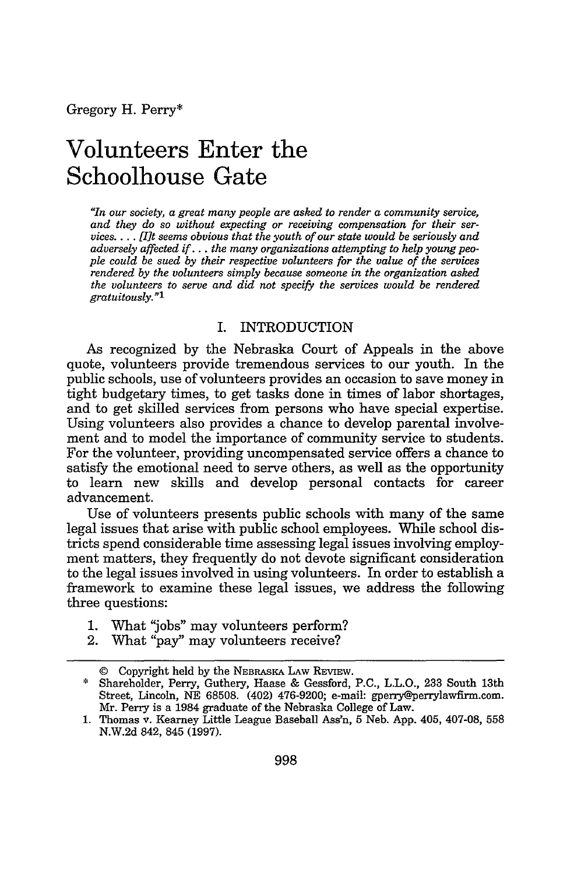# **Volunteers Enter the Schoolhouse Gate**

*"In our society, a great many people are asked to render a community service, and they do so without expecting or receiving compensation for their services.... [It seems obvious that the youth of our state would be seriously and adversely affected if... the many organizations attempting to help young people could be sued by their respective volunteers for the value of the services rendered by the volunteers simply because someone in the organization asked the volunteers to serve and did not specify the services would be rendered gratuitously."l*

#### I. INTRODUCTION

As recognized by the Nebraska Court of Appeals in the above quote, volunteers provide tremendous services to our youth. In the public schools, use of volunteers provides an occasion to save money in tight budgetary times, to get tasks done in times of labor shortages, and to get skilled services from persons who have special expertise. Using volunteers also provides a chance to develop parental involvement and to model the importance of community service to students. For the volunteer, providing uncompensated service offers a chance to satisfy the emotional need to serve others, as well as the opportunity to learn new skills and develop personal contacts for career advancement.

Use of volunteers presents public schools with many of the same legal issues that arise with public school employees. While school districts spend considerable time assessing legal issues involving employment matters, they frequently do not devote significant consideration to the legal issues involved in using volunteers. In order to establish a framework to examine these legal issues, we address the following three questions:

- 1. What "jobs" may volunteers perform?
- 2. What "pay" may volunteers receive?

<sup>©</sup> Copyright held by the NEBRASKA **LAW** REVIEW.

<sup>\*</sup> Shareholder, Perry, Guthery, Haase & Gessford, P.C., L.L.O., 233 South 13th Street, Lincoln, NE 68508. (402) 476-9200; e-mail: gperry@perrylawfirm.com. Mr. Perry is a 1984 graduate of the Nebraska College of Law.

<sup>1.</sup> Thomas v. Kearney Little League Baseball Ass'n, 5 Neb. App. 405, 407-08, 558 N.W.2d 842, 845 (1997).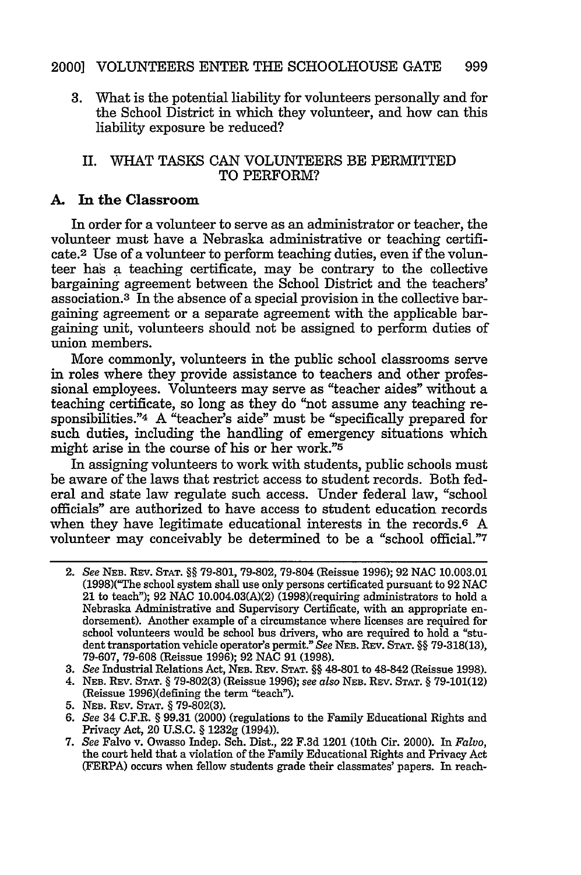3. What is the potential liability for volunteers personally and for the School District in which they volunteer, and how can this liability exposure be reduced?

#### II. WHAT TASKS CAN VOLUNTEERS BE PERMITTED TO PERFORM?

#### **A. In** the Classroom

In order for a volunteer to serve as an administrator or teacher, the volunteer must have a Nebraska administrative or teaching certificate.<sup>2</sup> Use of a volunteer to perform teaching duties, even if the volunteer has a teaching certificate, may be contrary to the collective bargaining agreement between the School District and the teachers' association.<sup>3</sup> In the absence of a special provision in the collective bargaining agreement or a separate agreement with the applicable bargaining unit, volunteers should not be assigned to perform duties of union members.

More commonly, volunteers in the public school classrooms serve in roles where they provide assistance to teachers and other professional employees. Volunteers may serve as "teacher aides" without a teaching certificate, so long as they do "not assume any teaching responsibilities."4 A "teacher's aide" must be "specifically prepared for such duties, including the handling of emergency situations which might arise in the course of his or her work."5

In assigning volunteers to work with students, public schools must be aware of the laws that restrict access to student records. Both federal and state law regulate such access. Under federal law, "school officials" are authorized to have access to student education records when they have legitimate educational interests in the records.<sup>6</sup> A volunteer may conceivably be determined to be a "school official."7

- 3. *See* Industrial Relations Act, **NEB.** REV. **STAT. §§** 48-801 to 48-842 (Reissue 1998).
- 4. **NEB.** REV. **STAT.** § 79-802(3) (Reissue 1996); *see also* NEB. REv. **STAT.** § 79-101(12) (Reissue 1996)(defining the term "teach").
- 5. **NEB.** REv. **STAT.** § 79-802(3).
- 6. *See* 34 C.F.R. § 99.31 (2000) (regulations to the Family Educational Rights and Privacy Act, 20 U.S.C. § 1232g (1994)).

<sup>2.</sup> *See* **NEB.** REV. **STAT. §§** 79-801, 79-802, 79-804 (Reissue 1996); 92 NAC 10.003.01 (1998)("The school system shall use only persons certificated pursuant to 92 NAC 21 to teach"); 92 **NAC** 10.004.03(A)(2) (1998)(requiring administrators to hold a Nebraska Administrative and Supervisory Certificate, with an appropriate endorsement). Another example of a circumstance where licenses are required for school volunteers would be school bus drivers, who are required to hold a "student transportation vehicle operator's permit." *See* **NEB.** REV. **STAT. §§** 79-318(13), 79-607, 79-608 (Reissue 1996); 92 **NAC** 91 (1998).

<sup>7.</sup> *See* Falvo v. Owasso Indep. Sch. Dist., 22 F.3d 1201 (10th Cir. 2000). In *Falvo,* the court held that a violation of the Family Educational Rights and Privacy Act (FERPA) occurs when fellow students grade their classmates' papers. In reach-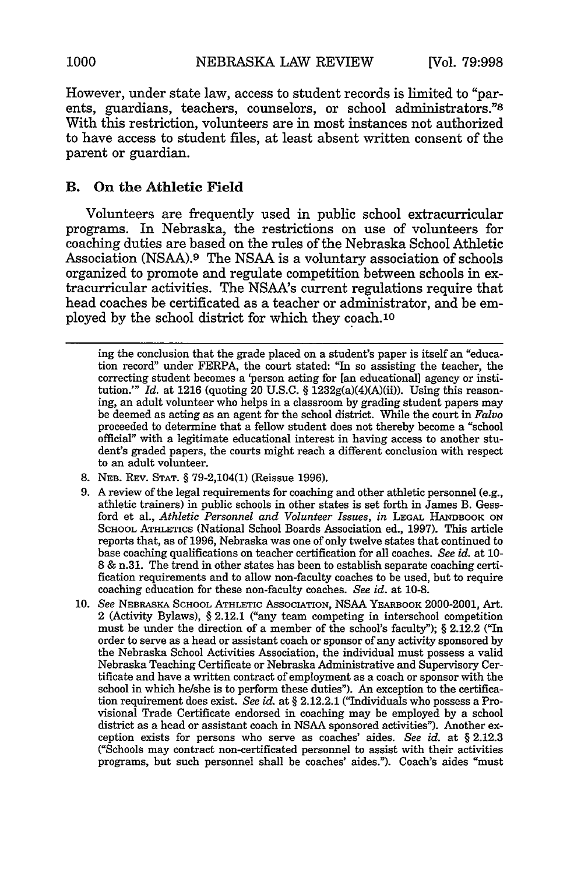However, under state law, access to student records is limited to "parents, guardians, teachers, counselors, or school administrators."8 With this restriction, volunteers are in most instances not authorized to have access to student files, at least absent written consent of the parent or guardian.

### B. On the Athletic Field

Volunteers are frequently used in public school extracurricular programs. In Nebraska, the restrictions on use of volunteers for coaching duties are based on the rules of the Nebraska School Athletic Association (NSAA).9 The NSAA is a voluntary association of schools organized to promote and regulate competition between schools in extracurricular activities. The NSAA's current regulations require that head coaches be certificated as a teacher or administrator, and be employed by the school district for which they coach.1o

- 8. **NEB.** REV. **STAT.** § 79-2,104(1) (Reissue 1996).
- 9. A review of the legal requirements for coaching and other athletic personnel (e.g., athletic trainers) in public schools in other states is set forth in James B. Gessford et al., *Athletic Personnel and Volunteer Issues, in* **LEGAL** HANDBOOK **ON SCHOOL ATHLETICS** (National School Boards Association ed., 1997). This article reports that, as of 1996, Nebraska was one of only twelve states that continued to base coaching qualifications on teacher certification for all coaches. *See id.* at 10- **8** & n.31. The trend in other states has been to establish separate coaching certification requirements and to allow non-faculty coaches to be used, but to require coaching education for these non-faculty coaches. *See id.* at **10-8.**
- **10.** *See* NEBRASKA **SCHOOL ATHLETIC** AsSOCIATION, NSAA YEARBOOK 2000-2001, Art. 2 (Activity Bylaws), § 2.12.1 ("any team competing in interschool competition must be under the direction of a member of the school's faculty"); § 2.12.2 ("In order to serve as a head or assistant coach or sponsor of any activity sponsored by the Nebraska School Activities Association, the individual must possess a valid Nebraska Teaching Certificate or Nebraska Administrative and Supervisory Certificate and have a written contract of employment as a coach or sponsor with the school in which he/she is to perform these duties"). An exception to the certification requirement does exist. *See id.* at § 2.12.2.1 ("Individuals who possess a Provisional Trade Certificate endorsed in coaching may be employed by a school district as a head or assistant coach in NSAA sponsored activities"). Another exception exists for persons who serve as coaches' aides. *See id.* at § 2.12.3 ("Schools may contract non-certificated personnel to assist with their activities programs, but such personnel shall be coaches' aides."). Coach's aides "must

ing the conclusion that the grade placed on a student's paper is itself an "education record" under FERPA, the court stated: "In so assisting the teacher, the correcting student becomes a 'person acting for [an educational] agency or institution.'" *Id.* at 1216 (quoting 20 U.S.C. § 1232g(a)(4)(A)(ii)). Using this reasoning, an adult volunteer who helps in a classroom by grading student papers may be deemed as acting as an agent for the school district. While the court in *Falvo* proceeded to determine that a fellow student does not thereby become a "school official" with a legitimate educational interest in having access to another student's graded papers, the courts might reach a different conclusion with respect to an adult volunteer.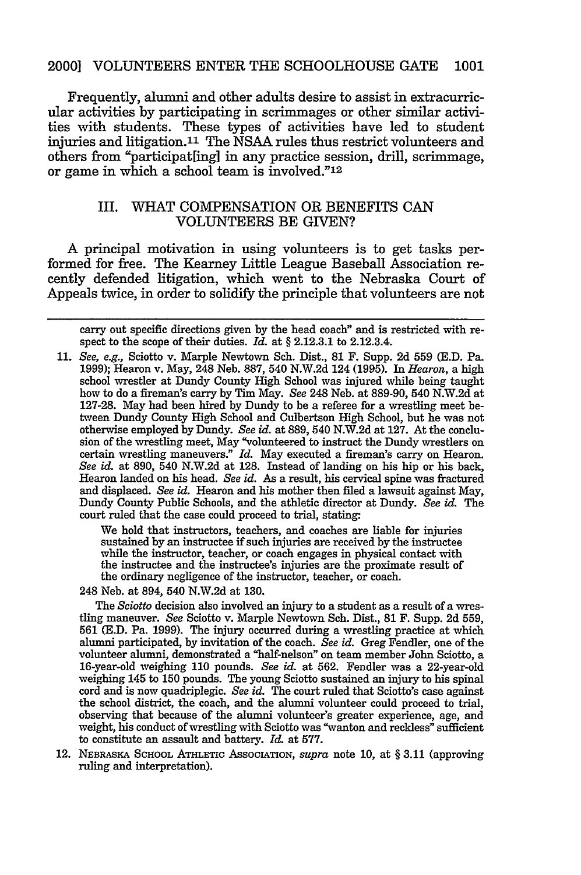#### 2000] **VOLUNTEERS** ENTER THE **SCHOOLHOUSE GATE 1001**

Frequently, alumni and other adults desire to assist in extracurricular activities by participating in scrimmages or other similar activities with students. These types of activities have led to student injuries and litigation.<sup>11</sup> The NSAA rules thus restrict volunteers and others from "participat[ing] in any practice session, drill, scrimmage, or game in which a school team is involved."12

#### III. WHAT COMPENSATION OR BENEFITS CAN **VOLUNTEERS** BE GIVEN?

A principal motivation in using volunteers is to get tasks performed for free. The Kearney Little League Baseball Association recently defended litigation, which went to the Nebraska Court of Appeals twice, in order to solidify the principle that volunteers are not

carry out specific directions given by the head coach" and is restricted with respect to the scope of their duties. *Id.* at § 2.12.3.1 to 2.12.3.4.

11. *See, e.g.,* Sciotto v. Marple Newtown Sch. Dist., 81 F. Supp. 2d 559 (E.D. Pa. 1999); Hearon v. May, 248 Neb. 887, 540 N.W.2d 124 (1995). In *Hearon,* a high school wrestler at Dundy County High School was injured while being taught how to do a fireman's carry by Tim May. *See* 248 Neb. at 889-90, 540 N.W.2d at 127-28. May had been hired by Dundy to be a referee for a wrestling meet between Dundy County High School and Culbertson High School, but he was not otherwise employed by Dundy. *See id.* at 889, 540 N.W.2d at 127. At the conclusion of the wrestling meet, May "volunteered to instruct the Dundy wrestlers on certain wrestling maneuvers." *Id.* May executed a fireman's carry on Hearon. *See id.* at 890, 540 N.W.2d at 128. Instead of landing on his hip or his back, Hearon landed on his head. *See id.* As a result, his cervical spine was fractured and displaced. *See id.* Hearon and his mother then filed a lawsuit against May, Dundy County Public Schools, and the athletic director at Dundy. *See id.* The court ruled that the case could proceed to trial, stating.

> We hold that instructors, teachers, and coaches are liable for injuries sustained by an instructee if such injuries are received by the instructee while the instructor, teacher, or coach engages in physical contact with the instructee and the instructee's injuries are the proximate result of the ordinary negligence of the instructor, teacher, or coach.

248 Neb. at 894, 540 N.W.2d at 130.

The *Sciotto* decision also involved an injury to a student as a result of a wrestling maneuver. *See* Sciotto v. Marple Newtown Sch. Dist., 81 F. Supp. 2d 559, 561 (E.D. Pa. 1999). The injury occurred during a wrestling practice at which alumni participated, by invitation of the coach. *See id.* Greg Fendler, one of the volunteer alumni, demonstrated a "half-nelson" on team member John Sciotto, a 16-year-old weighing 110 pounds. *See id.* at 562. Fendler was a 22-year-old weighing 145 to 150 pounds. The young Sciotto sustained an injury to his spinal cord and is now quadriplegic. *See id.* The court ruled that Sciotto's case against the school district, the coach, and the alumni volunteer could proceed to trial, observing that because of the alumni volunteer's greater experience, age, and weight, his conduct of wrestling with Sciotto was "wanton and reckless" sufficient to constitute an assault and battery. *Id.* at 577.

12. NEBRASKA SCHOOL ATHLETIC ASSOCIATION, *supra* note 10, at § 3.11 (approving ruling and interpretation).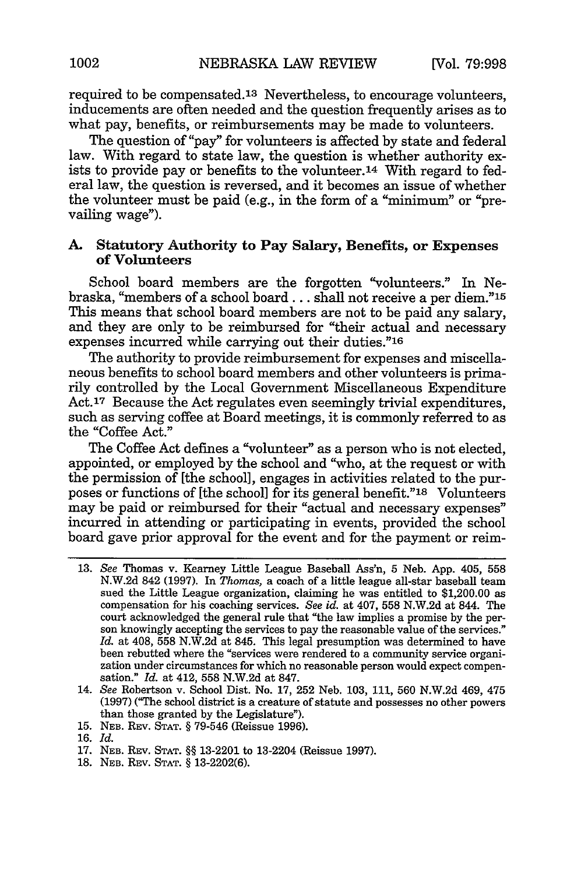required to be compensated.<sup>13</sup> Nevertheless, to encourage volunteers, inducements are often needed and the question frequently arises as to what pay, benefits, or reimbursements may be made to volunteers.

The question of "pay" for volunteers is affected by state and federal law. With regard to state law, the question is whether authority exists to provide pay or benefits to the volunteer.<sup>14</sup> With regard to federal law, the question is reversed, and it becomes an issue of whether the volunteer must be paid (e.g., in the form of a "minimum" or "prevailing wage").

#### **A. Statutory Authority to Pay Salary, Benefits, or Expenses of Volunteers**

School board members are the forgotten "volunteers." In Nebraska, "members of a school board... shall not receive a per diem."15 This means that school board members are not to be paid any salary, and they are only to be reimbursed for "their actual and necessary expenses incurred while carrying out their duties."16

The authority to provide reimbursement for expenses and miscellaneous benefits to school board members and other volunteers is primarily controlled by the Local Government Miscellaneous Expenditure Act.<sup>17</sup> Because the Act regulates even seemingly trivial expenditures, such as serving coffee at Board meetings, it is commonly referred to as the "Coffee Act."

The Coffee Act defines a "volunteer" as a person who is not elected, appointed, or employed by the school and "who, at the request or with the permission of [the school], engages in activities related to the purposes or functions of [the school] for its general benefit."i8 Volunteers may be paid or reimbursed for their "actual and necessary expenses" incurred in attending or participating in events, provided the school board gave prior approval for the event and for the payment or reim-

**15. NEB.** REV. **STAT.** § 79-546 (Reissue **1996).**

- 17. **NEB.** REV. **STAT.** §§ 13-2201 to 13-2204 (Reissue 1997).
- 18. **NEB.** REV. **STAT.** § 13-2202(6).

<sup>13.</sup> *See* Thomas v. Kearney Little League Baseball Ass'n, 5 Neb. App. 405, 558 N.W.2d 842 (1997). In *Thomas,* a coach of a little league all-star baseball team sued the Little League organization, claiming he was entitled to \$1,200.00 as compensation for his coaching services. *See id.* at 407, 558 N.W.2d at 844. The court acknowledged the general rule that "the law implies a promise by the person knowingly accepting the services to pay the reasonable value of the services." *Id.* at 408, 558 N.W.2d at 845. This legal presumption was determined to have been rebutted where the "services were rendered to a community service organization under circumstances for which no reasonable person would expect compensation." *Id.* at 412, 558 N.W.2d at 847.

<sup>14.</sup> *See* Robertson v. School Dist. No. 17, 252 Neb. 103, 111, 560 N.W.2d 469, 475 (1997) ("The school district is a creature of statute and possesses no other powers than those granted by the Legislature").

<sup>16.</sup> *Id.*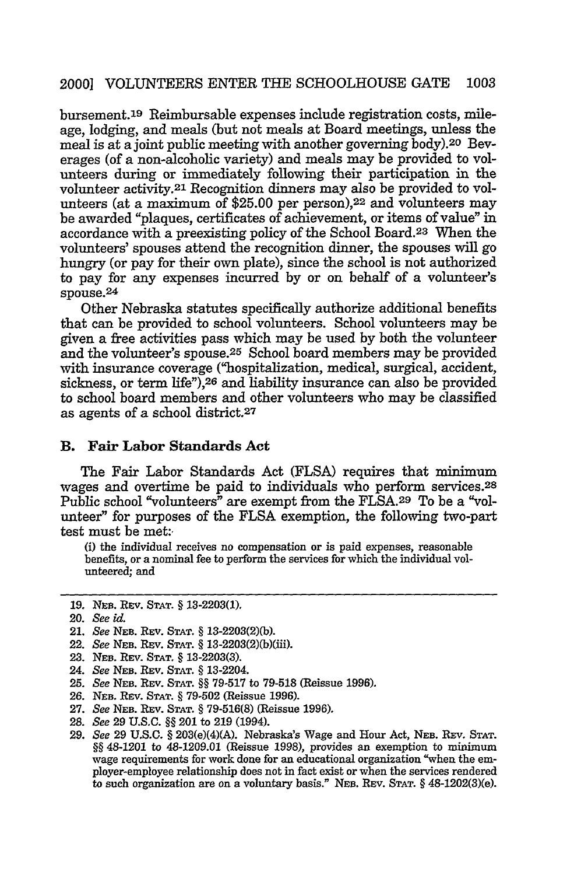bursement.<sup>19</sup> Reimbursable expenses include registration costs, mileage, lodging, and meals (but not meals at Board meetings, unless the meal is at a joint public meeting with another governing body).20 Beverages (of a non-alcoholic variety) and meals may be provided to volunteers during or immediately following their participation in the volunteer activity.21 Recognition dinners may also be provided to volunteers (at a maximum of \$25.00 per person),22 and volunteers may be awarded "plaques, certificates of achievement, or items of value" in accordance with a preexisting policy of the School Board.23 When the volunteers' spouses attend the recognition dinner, the spouses will go hungry (or pay for their own plate), since the school is not authorized to pay for any expenses incurred by or on behalf of a volunteer's spouse.<sup>24</sup>

Other Nebraska statutes specifically authorize additional benefits that can be provided to school volunteers. School volunteers may be given a free activities pass which may be used by both the volunteer and the volunteer's spouse.25 School board members may be provided with insurance coverage ("hospitalization, medical, surgical, accident, sickness, or term life"),<sup>26</sup> and liability insurance can also be provided to school board members and other volunteers who may be classified as agents of a school district.<sup>27</sup>

#### B. Fair Labor Standards **Act**

The Fair Labor Standards Act (FLSA) requires that minimum wages and overtime be paid to individuals who perform services. <sup>28</sup> Public school "volunteers" are exempt from the FLSA.<sup>29</sup> To be a "volunteer" for purposes of the FLSA exemption, the following two-part test must be met:

(i) the individual receives no compensation or is paid expenses, reasonable benefits, or a nominal fee to perform the services for which the individual volunteered; and

- 22. See **NEB.** REv. **STAT. §** 13-2203(2)(b)(iii).
- 23. NEB. REv. **STAT. §** 13-2203(3).
- 24. See *NEB.* Rev. **STAT. §** 13-2204.
- 25. See **NEB.** REv. **STAT. §§ 79-517** to 79-518 (Reissue 1996).
- 26. **NEB.** Rev. **STAT.** § 79-502 (Reissue 1996).
- 27. See **NEB.** Rev. **STAT. §** 79-516(8) (Reissue 1996).
- 28. See 29 U.S.C. **§§** 201 to 219 (1994).
- 29. See 29 U.S.C. **§** 203(e)(4)(A). Nebraska's Wage and Hour Act, **NEB.** REV. **STAT. §§** 48-1201 to 48-1209.01 (Reissue 1998), provides an exemption to minimum wage requirements for work done for an educational organization "when the em-<br>ployer-employee relationship does not in fact exist or when the services rendered to such organization are on a voluntary basis." **NEB.** REv. **STAT. §** 48-1202(3)(e).

<sup>19.</sup> **NEB.** REv. **STAT. §** 13-2203(1).

<sup>20.</sup> See id.

<sup>21.</sup> See **NEB.** REV. **STAT. §** 13-2203(2)(b).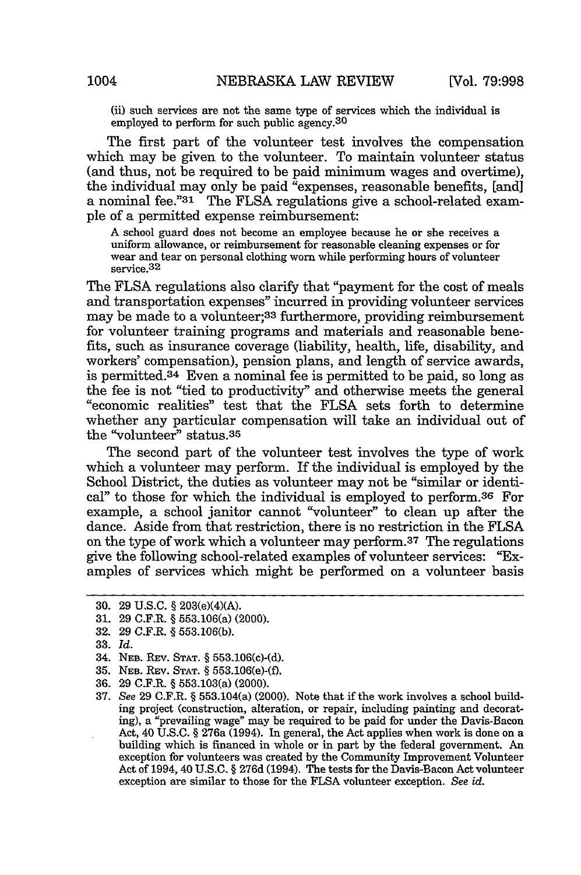(ii) such services are not the same type of services which the individual is employed to perform for such public agency.<sup>30</sup>

The first part of the volunteer test involves the compensation which may be given to the volunteer. To maintain volunteer status (and thus, not be required to be paid minimum wages and overtime), the individual may only be paid "expenses, reasonable benefits, [and] a nominal fee."31 The FLSA regulations give a school-related example of a permitted expense reimbursement:

A school guard does not become an employee because he or she receives a uniform allowance, or reimbursement for reasonable cleaning expenses or for wear and tear on personal clothing worn while performing hours of volunteer service.<sup>32</sup>

The FLSA regulations also clarify that "payment for the cost of meals and transportation expenses" incurred in providing volunteer services may be made to a volunteer;<sup>33</sup> furthermore, providing reimbursement for volunteer training programs and materials and reasonable benefits, such as insurance coverage (liability, health, life, disability, and workers' compensation), pension plans, and length of service awards, is permitted. $34$  Even a nominal fee is permitted to be paid, so long as the fee is not "tied to productivity" and otherwise meets the general "economic realities" test that the FLSA sets forth to determine whether any particular compensation will take an individual out of the "volunteer" status. <sup>35</sup>

The second part of the volunteer test involves the type of work which a volunteer may perform. If the individual is employed by the School District, the duties as volunteer may not be "similar or identical" to those for which the individual is employed to perform.<sup>36</sup> For example, a school janitor cannot "volunteer" to clean up after the dance. Aside from that restriction, there is no restriction in the FLSA on the type of work which a volunteer may perform.37 The regulations give the following school-related examples of volunteer services: "Examples of services which might be performed on a volunteer basis

<sup>30. 29</sup> U.S.C. § 203(e)(4)(A).

<sup>31. 29</sup> C.F.R. § 553.106(a) (2000).

<sup>32. 29</sup> C.F.R. § 553.106(b).

<sup>33.</sup> *Id.*

<sup>34.</sup> NEB. REV. STAT. § 553.106(c)-(d).

<sup>35.</sup> **NEB.** REV. STAT. § 553.106(e)-(f).

<sup>36. 29</sup> C.F.R. § 553.103(a) (2000).

<sup>37.</sup> *See* 29 C.F.R. § 553.104(a) (2000). Note that if the work involves a school building project (construction, alteration, or repair, including painting and decorating), a "prevailing wage" may be required to be paid for under the Davis-Bacon Act, 40 U.S.C. § 276a (1994). In general, the Act applies when work is done on a building which is financed in whole or in part by the federal government. An exception for volunteers was created by the Community Improvement Volunteer Act of 1994, 40 U.S.C. § 276d (1994). The tests for the Davis-Bacon Act volunteer exception are similar to those for the FLSA volunteer exception. *See id.*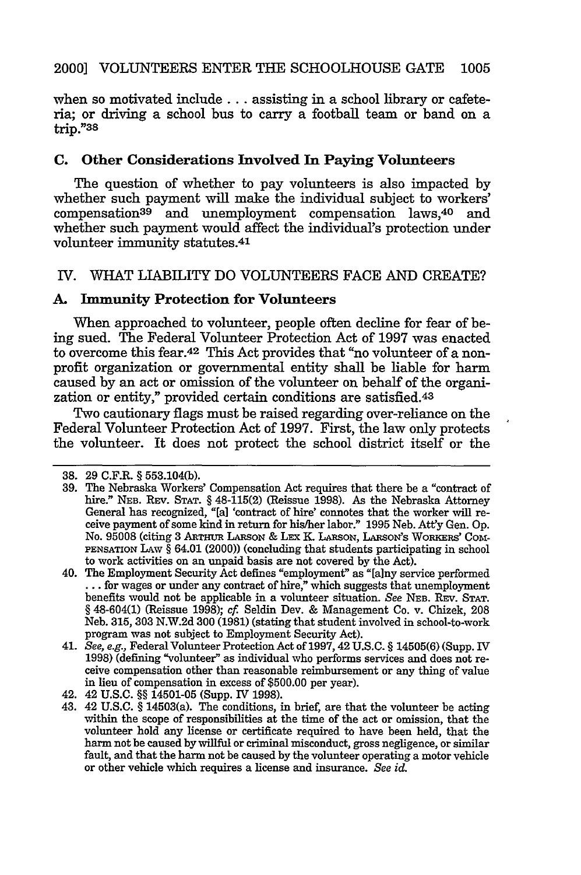when so motivated include... assisting in a school library or cafeteria; or driving a school bus to carry a football team or band on a  $trip.$ "38

# **C. Other Considerations Involved In Paying Volunteers**

The question of whether to pay volunteers is also impacted **by** whether such payment will make the individual subject to workers' compensation<sup>39</sup> and unemployment compensation laws,<sup>40</sup> and whether such payment would affect the individual's protection under volunteer immunity statutes.<sup>41</sup>

## IV. WHAT LIABILITY DO VOLUNTEERS FACE AND CREATE?

## **A. Immunity Protection for Volunteers**

When approached to volunteer, people often decline for fear of being sued. The Federal Volunteer Protection Act of **1997** was enacted to overcome this fear.42 This Act provides that "no volunteer of a nonprofit organization or governmental entity shall be liable for harm caused **by** an act or omission of the volunteer on behalf of the organization or entity," provided certain conditions are satisfied.<sup>43</sup>

Two cautionary flags must be raised regarding over-reliance on the Federal Volunteer Protection Act of **1997.** First, the law only protects the volunteer. It does not protect the school district itself or the

**<sup>38. 29</sup>** C.F.R. **§ 553.104(b).**

**<sup>39.</sup>** The Nebraska Workers' Compensation Act requires that there be a "contract of hire." **NEB.** REV. **STAT. §** 48-115(2) (Reissue 1998). As the Nebraska Attorney General has recognized, "[a] 'contract of hire' connotes that the worker will receive payment of some kind in return for his/her labor." 1995 Neb. Att'y Gen. Op. No. **95008** (citing **3 ARTHUR** LRSON & LEx **K** LARsoN, LARsoN's WoRKERs' Com-**PENSATION LAW §** 64.01 (2000)) (concluding that students participating in school to work activities on an unpaid basis are not covered by the Act).

<sup>40.</sup> The Employment Security Act defines "employment" as "[a]ny service performed **...** for wages or under any contract of hire," which suggests that unemployment benefits would not be applicable in a volunteer situation. *See* NEB. REV. **STAT. §** 48-604(1) (Reissue 1998); *cf* Seldin Dev. & Management Co. v. Chizek, 208 Neb. **315, 303** N.W.2d 300 (1981) (stating that student involved in school-to-work program was not subject to Employment Security Act).

<sup>41.</sup> *See, e.g.,* Federal Volunteer Protection Act of 1997, 42 U.S.C. **§** 14505(6) (Supp. IV 1998) (defining "volunteer" as individual who performs services and does not receive compensation other than reasonable reimbursement or any thing of value in lieu of compensation in excess of \$500.00 per year).

<sup>42. 42</sup> U.S.C. **§§** 14501-05 (Supp. IV 1998).

<sup>43. 42</sup> U.S.C. **§** 14503(a). The conditions, in brief, are that the volunteer be acting within the scope of responsibilities at the time of the act or omission, that the volunteer hold any license or certificate required to have been held, that the harm not be caused by willful or criminal misconduct, gross negligence, or similar fault, and that the harm not be caused by the volunteer operating a motor vehicle or other vehicle which requires a license and insurance. *See id.*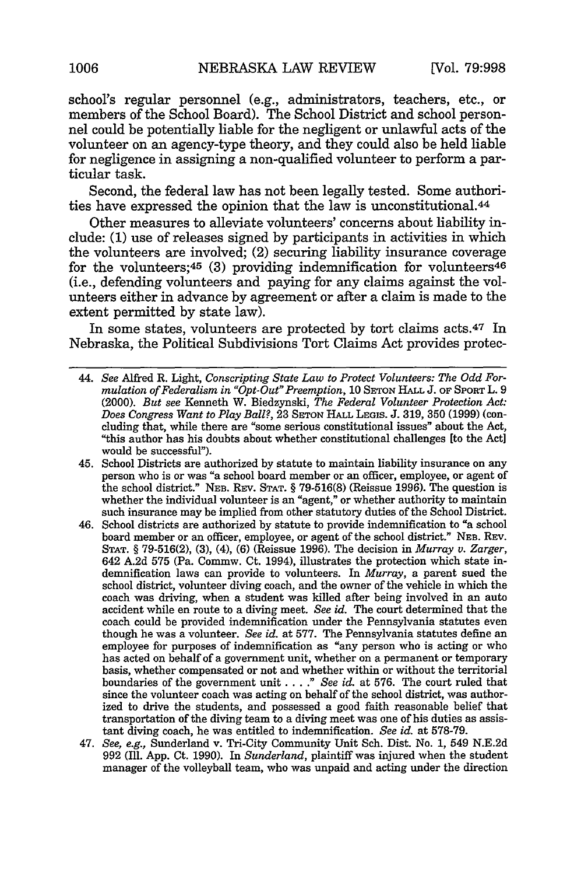school's regular personnel (e.g., administrators, teachers, etc., or members of the School Board). The School District and school personnel could be potentially liable for the negligent or unlawful acts of the volunteer on an agency-type theory, and they could also be held liable for negligence in assigning a non-qualified volunteer to perform a particular task.

Second, the federal law has not been legally tested. Some authorities have expressed the opinion that the law is unconstitutional.4 <sup>4</sup>

Other measures to alleviate volunteers' concerns about liability include: (1) use of releases signed by participants in activities in which the volunteers are involved; (2) securing liability insurance coverage for the volunteers;  $45$  (3) providing indemnification for volunteers  $46$ (i.e., defending volunteers and paying for any claims against the volunteers either in advance by agreement or after a claim is made to the extent permitted by state law).

In some states, volunteers are protected by tort claims acts.47 In Nebraska, the Political Subdivisions Tort Claims Act provides protec-

- 44. *See* Alfred R. Light, *Conscripting State Law to Protect Volunteers: The Odd Formulation of Federalism in "Opt-Out" Preemption,* 10 **SETON** HALL J. OF SPORT L. 9 (2000). *But see* Kenneth W. Biedzynski, *The Federal Volunteer Protection Act: Does Congress Want to Play Ball?,* 23 **SETON** HALL **LEGIS.** J. 319, 350 (1999) (concluding that, while there are "some serious constitutional issues" about the Act, "this author has his doubts about whether constitutional challenges [to the Act] would be successful").
- 45. School Districts are authorized by statute to maintain liability insurance on any person who is or was "a school board member or an officer, employee, or agent of the school district." **NEB.** Rsv. **STAT.** § **79-516(8)** (Reissue 1996). The question is whether the individual volunteer is an "agent," or whether authority to maintain such insurance may be implied from other statutory duties of the School District.
- 46. School districts are authorized **by** statute to provide indemnification to "a school board member or an officer, employee, or agent of the school district." **NEB.** REv. **STAT.** § **79-516(2), (3),** (4), **(6)** (Reissue **1996).** The decision in *Murray v. Zarger,* 642 **A.2d 575** (Pa. Commw. Ct. 1994), illustrates the protection which state indemnification laws can provide to volunteers. In *Murray,* a parent sued the school district, volunteer diving coach, and the owner of the vehicle in which the coach was driving, when a student was killed after being involved in an auto accident while en route to a diving meet. *See id.* The court determined that the coach could be provided indemnification under the Pennsylvania statutes even though he was a volunteer. *See id.* at **577.** The Pennsylvania statutes define an employee for purposes of indemnification as "any person who is acting or who has acted on behalf of a government unit, whether on a permanent or temporary basis, whether compensated or not and whether within or without the territorial boundaries of the government unit . **. . ."** *See id.* at **576.** The court ruled that since the volunteer coach was acting on behalf of the school district, was authorized to drive the students, and possessed a good faith reasonable belief that transportation of the diving team to a diving meet was one of his duties as assistant diving coach, he was entitled to indemnification. *See id.* at **578-79.**
- 47. *See, e.g.,* Sunderland v. Tri-City Community Unit Sch. Dist. No. **1,** 549 **N.E.2d 992 (Ill. App.** Ct. **1990).** In *Sunderland,* plaintiff was injured when the student manager of the volleyball team, who was unpaid and acting under the direction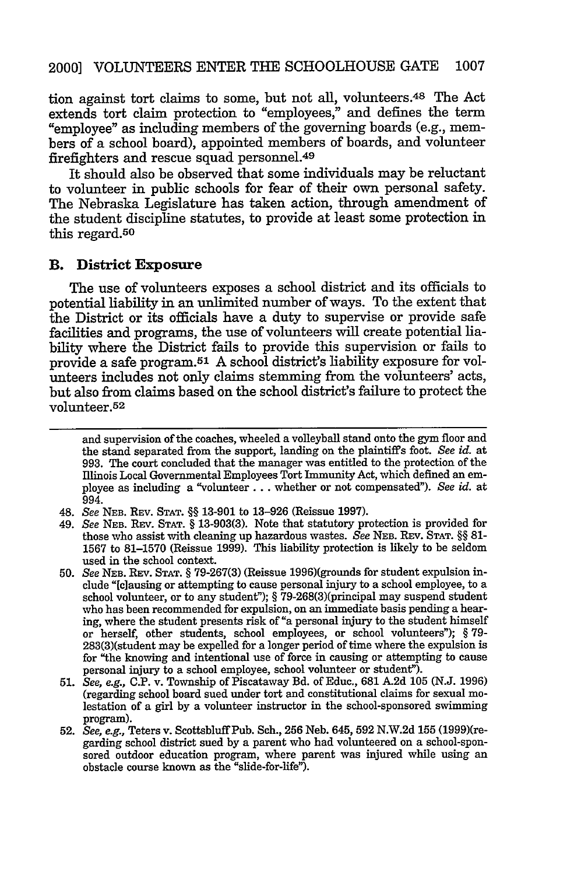tion against tort claims to some, but not all, volunteers.48 The Act extends tort claim protection to "employees," and defines the term "employee" as including members of the governing boards (e.g., members of a school board), appointed members of boards, and volunteer firefighters and rescue squad personnel.<sup>49</sup>

It should also be observed that some individuals may be reluctant to volunteer in public schools for fear of their own personal safety. The Nebraska Legislature has taken action, through amendment of the student discipline statutes, to provide at least some protection in this regard.<sup>50</sup>

#### B. **District Exposure**

The use of volunteers exposes a school district and its officials to potential liability in an unlimited number of ways. To the extent that the District or its officials have a duty to supervise or provide safe facilities and programs, the use of volunteers will create potential liability where the District fails to provide this supervision or fails to provide a safe program.<sup>51</sup> A school district's liability exposure for volunteers includes not only claims stemming from the volunteers' acts, but also from claims based on the school district's failure to protect the volunteer. <sup>52</sup>

and supervision of the coaches, wheeled a volleyball stand onto the gym floor and the stand separated from the support, landing on the plaintiffs foot. *See id.* at 993. The court concluded that the manager was entitled to the protection of the Illinois Local Governmental Employees Tort Immunity Act, which defined an employee as including a "volunteer **...** whether or not compensated"). *See id.* at 994.

- 49. *See* NEB. REv. STAT. § 13-903(3). Note that statutory protection is provided for those who assist with cleaning up hazardous wastes. *See* **NEB.** REv. STAT. §§ 81- 1567 to 81-1570 (Reissue 1999). This liability protection is likely to be seldom used in the school context.
- 50. *See* NEB. REv. STAT. § 79-267(3) (Reissue 1996)(grounds for student expulsion include "[clausing or attempting to cause personal injury to a school employee, to a school volunteer, or to any student"); § 79-268(3)(principal may suspend student who has been recommended for expulsion, on an immediate basis pending a hearing, where the student presents risk of "a personal injury to the student himself or herself, other students, school employees, or school volunteers"); § 79- 283(3)(student may be expelled for a longer period of time where the expulsion is for "the knowing and intentional use of force in causing or attempting to cause personal injury to a school employee, school volunteer or student").
- 51. *See, e.g.,* C.P. v. Township of Piscataway Bd. of Educ., 681 **A.2d** 105 (N.J. 1996) (regarding school board sued under tort and constitutional claims for sexual molestation of a girl by a volunteer instructor in the school-sponsored swimming program).
- 52. *See, e.g.,* Teters v. ScottsbluffPub. Sch., 256 Neb. 645, 592 N.W.2d 155 (1999)(regarding school district sued by a parent who had volunteered on a school-sponsored outdoor education program, where parent was injured while using an obstacle course known as the "slide-for-life").

<sup>48.</sup> *See* NEB. REv. STAT. §§ 13-901 to 13-926 (Reissue 1997).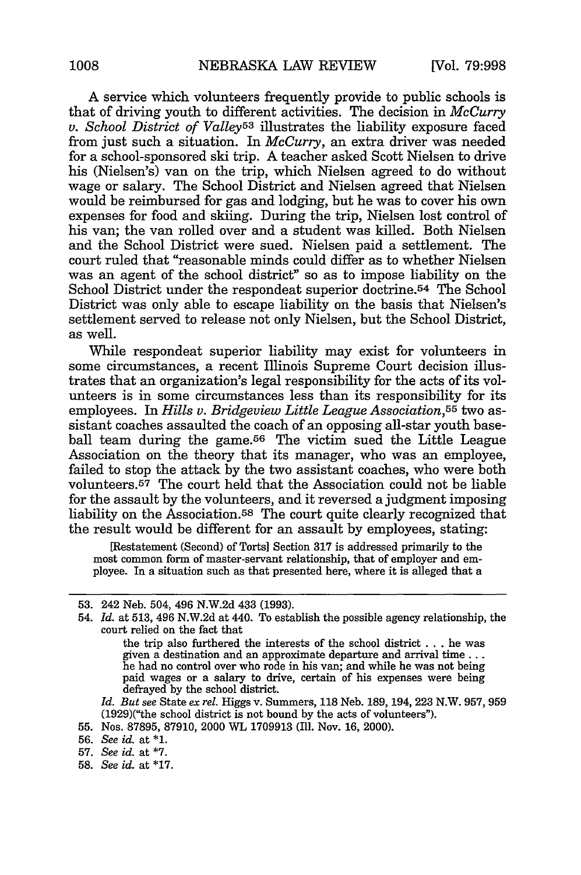A service which volunteers frequently provide to public schools is that of driving youth to different activities. The decision in *McCurry v. School District of Valley53* illustrates the liability exposure faced from just such a situation. In *McCurry,* an extra driver was needed for a school-sponsored ski trip. A teacher asked Scott Nielsen to drive his (Nielsen's) van on the trip, which Nielsen agreed to do without wage or salary. The School District and Nielsen agreed that Nielsen would be reimbursed for gas and lodging, but he was to cover his own expenses for food and skiing. During the trip, Nielsen lost control of his van; the van rolled over and a student was killed. Both Nielsen and the School District were sued. Nielsen paid a settlement. The court ruled that "reasonable minds could differ as to whether Nielsen was an agent of the school district" so as to impose liability on the School District under the respondeat superior doctrine.<sup>54</sup> The School District was only able to escape liability on the basis that Nielsen's settlement served to release not only Nielsen, but the School District, as well.

While respondeat superior liability may exist for volunteers in some circumstances, a recent Illinois Supreme Court decision illustrates that an organization's legal responsibility for the acts of its volunteers is in some circumstances less than its responsibility for its employees. In *Hills v. Bridgeview Little League Association,55* two assistant coaches assaulted the coach of an opposing all-star youth baseball team during the game.<sup>56</sup> The victim sued the Little League Association on the theory that its manager, who was an employee, failed to stop the attack by the two assistant coaches, who were both volunteers. 57 The court held that the Association could not be liable for the assault by the volunteers, and it reversed a judgment imposing liability on the Association.5S The court quite clearly recognized that the result would be different for an assault by employees, stating:

[Restatement (Second) of Torts] Section 317 is addressed primarily to the most common form of master-servant relationship, that of employer and employee. In a situation such as that presented here, where it is alleged that a

*Id. But* see State ex *rel.* Higgs v. Summers, 118 Neb. 189, 194, 223 N.W. 957, 959 (1929)("the school district is not bound by the acts of volunteers").

<sup>53. 242</sup> Neb. 504, 496 N.W.2d 433 (1993).

<sup>54.</sup> *Id.* at 513, 496 N.W.2d at 440. To establish the possible agency relationship, the court relied on the fact that

the trip also furthered the interests of the school district . . . he was given a destination and an approximate departure and arrival time... he had no control over who rode in his van; and while he was not being paid wages or a salary to drive, certain of his expenses were being defrayed by the school district.

<sup>55.</sup> Nos. 87895, 87910, 2000 WL 1709913 (Ill. Nov. 16, 2000).

<sup>56.</sup> *See id.* at **\*1.**

<sup>57.</sup> *See id.* at **\*7.**

<sup>58.</sup> *See id.* at \*17.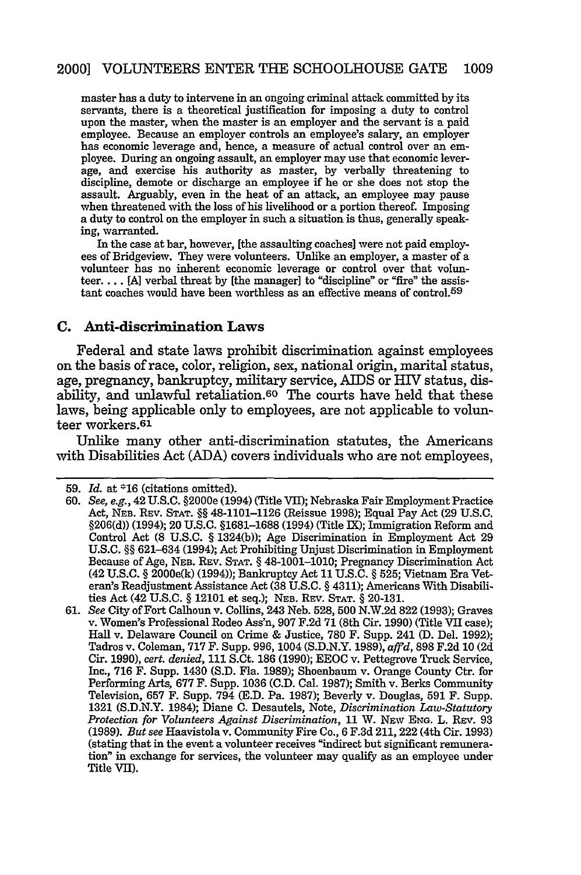master has a duty to intervene in an ongoing criminal attack committed by its servants, there is a theoretical justification for imposing a duty to control upon the master, when the master is an employer and the servant is a paid employee. Because an employer controls an employee's salary, an employer has economic leverage and, hence, a measure of actual control over an employee. During an ongoing assault, an employer may use that economic leverage, and exercise his authority as master, by verbally threatening to discipline, demote or discharge an employee if he or she does not stop the assault. Arguably, even in the heat of an attack, an employee may pause when threatened with the loss of his livelihood or a portion thereof. Imposing a duty to control on the employer in such a situation is thus, generally speaking, warranted.

In the case at bar, however, [the assaulting coaches] were not paid employees of Bridgeview. They were volunteers. Unlike an employer, a master of a volunteer has no inherent economic leverage or control over that volunteer... [A] verbal threat by [the manager] to "discipline" or "fire" the assistant coaches would have been worthless as an effective means of control.<sup>59</sup>

#### **C. Anti-discrimination Laws**

Federal and state laws prohibit discrimination against employees on the basis of race, color, religion, sex, national origin, marital status, age, pregnancy, bankruptcy, military service, AIDS or HIV status, disability, and unlawful retaliation.<sup>60</sup> The courts have held that these laws, being applicable only to employees, are not applicable to volunteer workers.<sup>61</sup>

Unlike many other anti-discrimination statutes, the Americans with Disabilities Act (ADA) covers individuals who are not employees,

<sup>59.</sup> *Id.* at **\*16** (citations omitted).

<sup>60.</sup> See, e.g., 42 U.S.C. §2000e (1994) (Title VII); Nebraska Fair Employment Practice Act, **NEB.** REV. **STAT. §§** 48-1101-1126 (Reissue 1998); Equal Pay Act (29 U.S.C. §206(d)) (1994); 20 U.S.C. §1681-1688 (1994) (Title IX); Immigration Reform and Control Act (8 U.S.C. **§** 1324(b)); Age Discrimination in Employment Act 29 U.S.C. **§§** 621-634 (1994); Act Prohibiting Unjust Discrimination in Employment Because of Age, **NEB.** REV. **STAT. §** 48-1001-1010; Pregnancy Discrimination Act (42 U.S.C. **§** 2000e(k) (1994)); Bankruptcy Act 11 U.S.C. **§ 525;** Vietnam Era Veteran's Readjustment Assistance Act (38 U.S.C. **§** 4311); Americans With Disabilities Act (42 U.S.C. **§** 12101 et seq.); **NEB.** REv. **STAT. §** 20-131.

<sup>61.</sup> *See* City of Fort Calhoun v. Collins, 243 Neb. 528, 500 N.W.2d 822 (1993); Graves v. Women's Professional Rodeo Ass'n, 907 F.2d 71 (8th Cir. 1990) (Title VII case); Hall v. Delaware Council on Crime & Justice, 780 F. Supp. 241 (D. Del. 1992); Tadros v. Coleman, 717 F. Supp. 996, 1004 (S.D.N.Y. 1989), *affd,* 898 F.2d 10 (2d Cir. 1990), *cert. denied,* 111 S.Ct. **186** (1990); EEOC v. Pettegrove Truck Service, Inc., 716 F. Supp. 1430 (S.D. Fla. 1989); Shoenbaum v. Orange County Ctr. for Performing Arts, 677 F. Supp. 1036 (C.D. Cal. 1987); Smith v. Berks Community Television, 657 F. Supp. 794 (E.D. Pa. 1987); Beverly v. Douglas, 591 F. Supp. 1321 (S.D.N.Y. 1984); Diane C. Desautels, Note, *Discrimination Law-Statutory Protection for Volunteers Against Discrimination, 11 W. NEw Eng. L. REV. 93* (1989). *But see* Haavistola v. Community Fire Co., 6 F.3d 211, 222 (4th Cir. 1993) (stating that in the event a volunteer receives "indirect but significant remuneration" in exchange for services, the volunteer may qualify as an employee under Title VII).